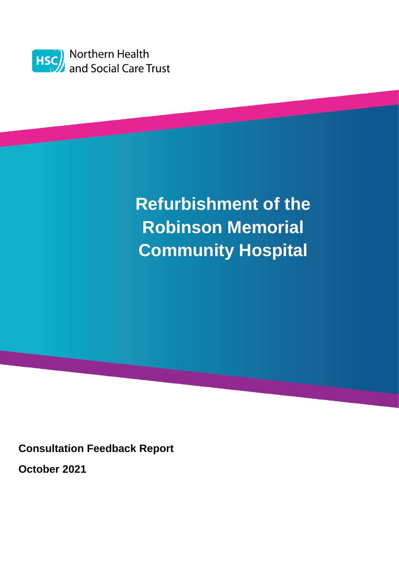

# **Refurbishment of the Robinson Memorial Community Hospital**

**Consultation Feedback Report**

**October 2021**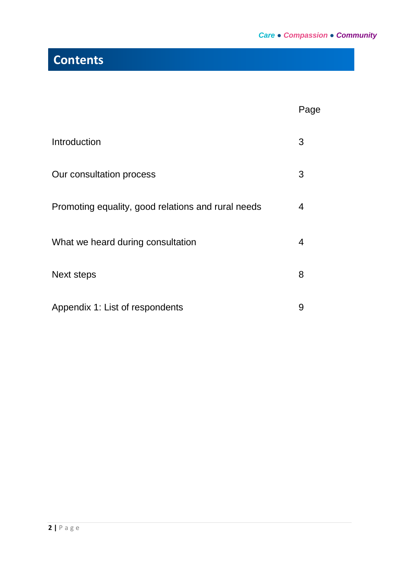## **Contents**

|                                                    | Page |
|----------------------------------------------------|------|
| Introduction                                       | 3    |
| Our consultation process                           | 3    |
| Promoting equality, good relations and rural needs | 4    |
| What we heard during consultation                  | 4    |
| <b>Next steps</b>                                  | 8    |
| Appendix 1: List of respondents                    | 9    |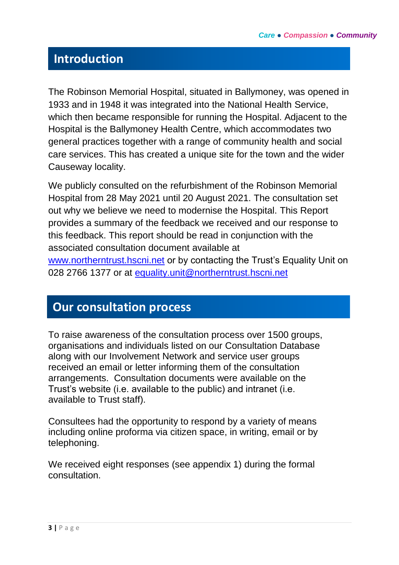## **Introduction**

The Robinson Memorial Hospital, situated in Ballymoney, was opened in 1933 and in 1948 it was integrated into the National Health Service, which then became responsible for running the Hospital. Adjacent to the Hospital is the Ballymoney Health Centre, which accommodates two general practices together with a range of community health and social care services. This has created a unique site for the town and the wider Causeway locality.

We publicly consulted on the refurbishment of the Robinson Memorial Hospital from 28 May 2021 until 20 August 2021. The consultation set out why we believe we need to modernise the Hospital. This Report provides a summary of the feedback we received and our response to this feedback. This report should be read in conjunction with the associated consultation document available at [www.northerntrust.hscni.net](http://www.northerntrust.hscni.net/) or by contacting the Trust's Equality Unit on 028 2766 1377 or at [equality.unit@northerntrust.hscni.net](mailto:equality.unit@northerntrust.hscni.net)

## **Our consultation process**

To raise awareness of the consultation process over 1500 groups, organisations and individuals listed on our Consultation Database along with our Involvement Network and service user groups received an email or letter informing them of the consultation arrangements. Consultation documents were available on the Trust's website (i.e. available to the public) and intranet (i.e. available to Trust staff).

Consultees had the opportunity to respond by a variety of means including online proforma via citizen space, in writing, email or by telephoning.

We received eight responses (see appendix 1) during the formal consultation.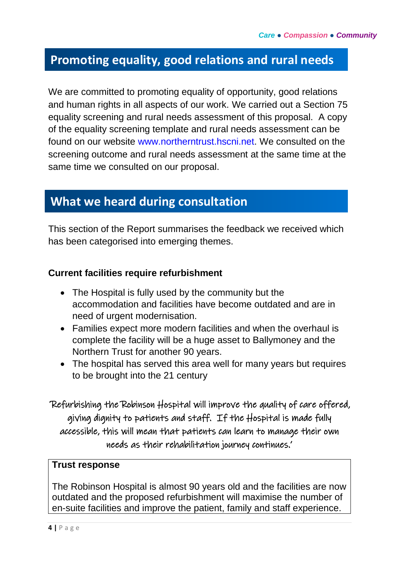### **Promoting equality, good relations and rural needs**

We are committed to promoting equality of opportunity, good relations and human rights in all aspects of our work. We carried out a Section 75 equality screening and rural needs assessment of this proposal. A copy of the equality screening template and rural needs assessment can be found on our website www.northerntrust.hscni.net. We consulted on the screening outcome and rural needs assessment at the same time at the same time we consulted on our proposal.

### **What we heard during consultation**

This section of the Report summarises the feedback we received which has been categorised into emerging themes.

#### **Current facilities require refurbishment**

- The Hospital is fully used by the community but the accommodation and facilities have become outdated and are in need of urgent modernisation.
- Families expect more modern facilities and when the overhaul is complete the facility will be a huge asset to Ballymoney and the Northern Trust for another 90 years.
- The hospital has served this area well for many years but requires to be brought into the 21 century

'Refurbishing the Robinson Hospital will improve the quality of care offered, giving dignity to patients and staff. If the Hospital is made fully accessible, this will mean that patients can learn to manage their own needs as their rehabilitation journey continues.'

#### **Trust response**

The Robinson Hospital is almost 90 years old and the facilities are now outdated and the proposed refurbishment will maximise the number of en-suite facilities and improve the patient, family and staff experience.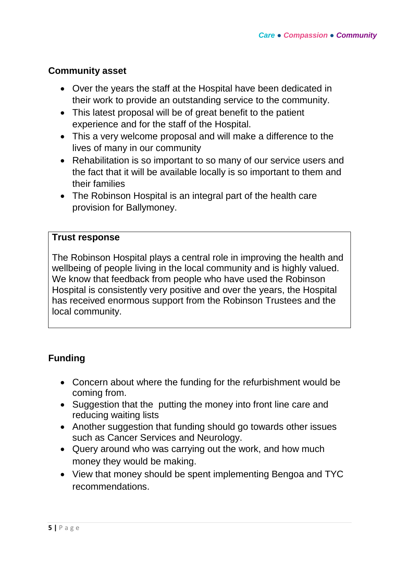#### **Community asset**

- Over the years the staff at the Hospital have been dedicated in their work to provide an outstanding service to the community.
- This latest proposal will be of great benefit to the patient experience and for the staff of the Hospital.
- This a very welcome proposal and will make a difference to the lives of many in our community
- Rehabilitation is so important to so many of our service users and the fact that it will be available locally is so important to them and their families
- The Robinson Hospital is an integral part of the health care provision for Ballymoney.

#### **Trust response**

The Robinson Hospital plays a central role in improving the health and wellbeing of people living in the local community and is highly valued. We know that feedback from people who have used the Robinson Hospital is consistently very positive and over the years, the Hospital has received enormous support from the Robinson Trustees and the local community.

#### **Funding**

- Concern about where the funding for the refurbishment would be coming from.
- Suggestion that the putting the money into front line care and reducing waiting lists
- Another suggestion that funding should go towards other issues such as Cancer Services and Neurology.
- Query around who was carrying out the work, and how much money they would be making.
- View that money should be spent implementing Bengoa and TYC recommendations.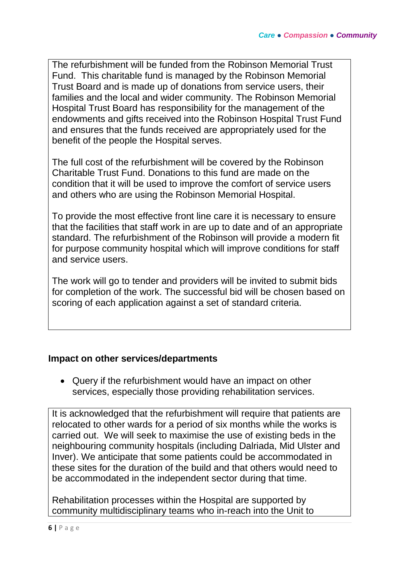The refurbishment will be funded from the Robinson Memorial Trust Fund. This charitable fund is managed by the Robinson Memorial Trust Board and is made up of donations from service users, their families and the local and wider community. The Robinson Memorial Hospital Trust Board has responsibility for the management of the endowments and gifts received into the Robinson Hospital Trust Fund and ensures that the funds received are appropriately used for the benefit of the people the Hospital serves.

The full cost of the refurbishment will be covered by the Robinson Charitable Trust Fund. Donations to this fund are made on the condition that it will be used to improve the comfort of service users and others who are using the Robinson Memorial Hospital.

To provide the most effective front line care it is necessary to ensure that the facilities that staff work in are up to date and of an appropriate standard. The refurbishment of the Robinson will provide a modern fit for purpose community hospital which will improve conditions for staff and service users.

The work will go to tender and providers will be invited to submit bids for completion of the work. The successful bid will be chosen based on scoring of each application against a set of standard criteria.

#### **Impact on other services/departments**

 Query if the refurbishment would have an impact on other services, especially those providing rehabilitation services.

It is acknowledged that the refurbishment will require that patients are relocated to other wards for a period of six months while the works is carried out. We will seek to maximise the use of existing beds in the neighbouring community hospitals (including Dalriada, Mid Ulster and Inver). We anticipate that some patients could be accommodated in these sites for the duration of the build and that others would need to be accommodated in the independent sector during that time.

Rehabilitation processes within the Hospital are supported by community multidisciplinary teams who in-reach into the Unit to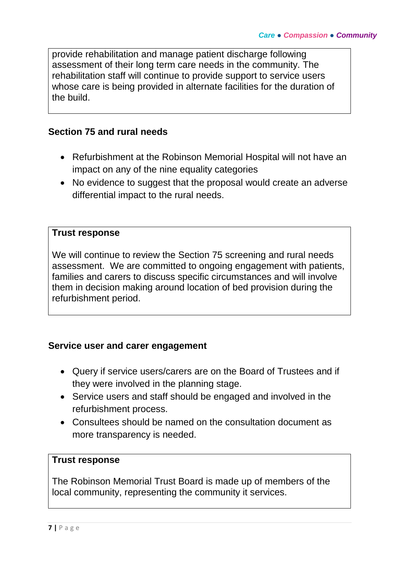provide rehabilitation and manage patient discharge following assessment of their long term care needs in the community. The rehabilitation staff will continue to provide support to service users whose care is being provided in alternate facilities for the duration of the build.

#### **Section 75 and rural needs**

- Refurbishment at the Robinson Memorial Hospital will not have an impact on any of the nine equality categories
- No evidence to suggest that the proposal would create an adverse differential impact to the rural needs.

#### **Trust response**

We will continue to review the Section 75 screening and rural needs assessment. We are committed to ongoing engagement with patients, families and carers to discuss specific circumstances and will involve them in decision making around location of bed provision during the refurbishment period.

#### **Service user and carer engagement**

- Query if service users/carers are on the Board of Trustees and if they were involved in the planning stage.
- Service users and staff should be engaged and involved in the refurbishment process.
- Consultees should be named on the consultation document as more transparency is needed.

#### **Trust response**

The Robinson Memorial Trust Board is made up of members of the local community, representing the community it services.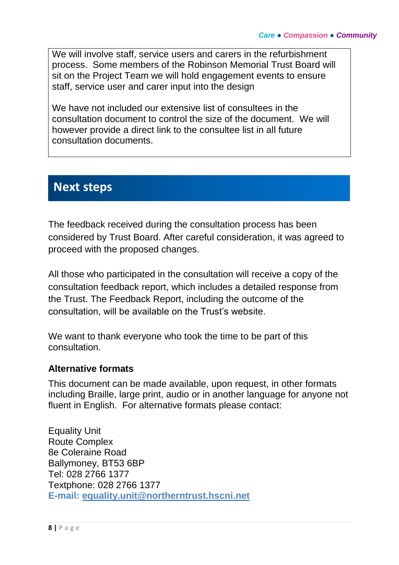We will involve staff, service users and carers in the refurbishment process. Some members of the Robinson Memorial Trust Board will sit on the Project Team we will hold engagement events to ensure staff, service user and carer input into the design

We have not included our extensive list of consultees in the consultation document to control the size of the document. We will however provide a direct link to the consultee list in all future consultation documents.

## **Next steps**

The feedback received during the consultation process has been considered by Trust Board. After careful consideration, it was agreed to proceed with the proposed changes.

All those who participated in the consultation will receive a copy of the consultation feedback report, which includes a detailed response from the Trust. The Feedback Report, including the outcome of the consultation, will be available on the Trust's website.

We want to thank everyone who took the time to be part of this consultation.

#### **Alternative formats**

This document can be made available, upon request, in other formats including Braille, large print, audio or in another language for anyone not fluent in English. For alternative formats please contact:

Equality Unit Route Complex 8e Coleraine Road Ballymoney, BT53 6BP Tel: 028 2766 1377 Textphone: 028 2766 1377 **E-mail: [equality.unit@northerntrust.hscni.net](mailto:equality.unit@northerntrust.hscni.net)**